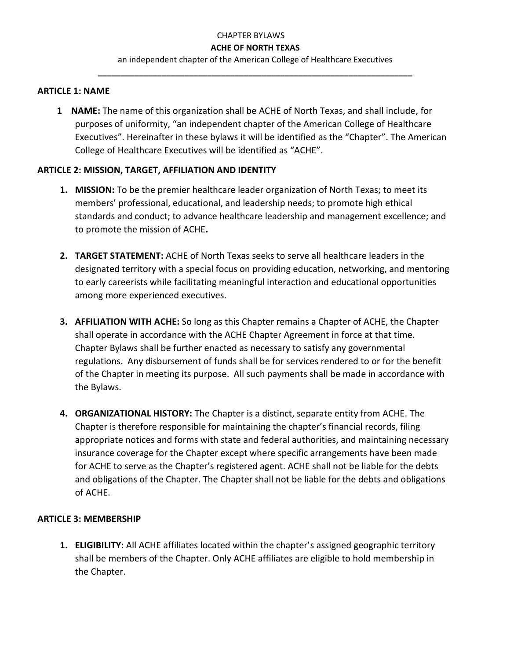an independent chapter of the American College of Healthcare Executives **\_\_\_\_\_\_\_\_\_\_\_\_\_\_\_\_\_\_\_\_\_\_\_\_\_\_\_\_\_\_\_\_\_\_\_\_\_\_\_\_\_\_\_\_\_\_\_\_\_\_\_\_\_\_\_\_\_\_\_\_\_\_\_\_\_\_\_\_\_**

#### **ARTICLE 1: NAME**

**1 NAME:** The name of this organization shall be ACHE of North Texas, and shall include, for purposes of uniformity, "an independent chapter of the American College of Healthcare Executives". Hereinafter in these bylaws it will be identified as the "Chapter". The American College of Healthcare Executives will be identified as "ACHE".

#### **ARTICLE 2: MISSION, TARGET, AFFILIATION AND IDENTITY**

- **1. MISSION:** To be the premier healthcare leader organization of North Texas; to meet its members' professional, educational, and leadership needs; to promote high ethical standards and conduct; to advance healthcare leadership and management excellence; and to promote the mission of ACHE**.**
- **2. TARGET STATEMENT:** ACHE of North Texas seeks to serve all healthcare leaders in the designated territory with a special focus on providing education, networking, and mentoring to early careerists while facilitating meaningful interaction and educational opportunities among more experienced executives.
- **3. AFFILIATION WITH ACHE:** So long as this Chapter remains a Chapter of ACHE, the Chapter shall operate in accordance with the ACHE Chapter Agreement in force at that time. Chapter Bylaws shall be further enacted as necessary to satisfy any governmental regulations. Any disbursement of funds shall be for services rendered to or for the benefit of the Chapter in meeting its purpose. All such payments shall be made in accordance with the Bylaws.
- **4. ORGANIZATIONAL HISTORY:** The Chapter is a distinct, separate entity from ACHE. The Chapter is therefore responsible for maintaining the chapter's financial records, filing appropriate notices and forms with state and federal authorities, and maintaining necessary insurance coverage for the Chapter except where specific arrangements have been made for ACHE to serve as the Chapter's registered agent. ACHE shall not be liable for the debts and obligations of the Chapter. The Chapter shall not be liable for the debts and obligations of ACHE.

### **ARTICLE 3: MEMBERSHIP**

**1. ELIGIBILITY:** All ACHE affiliates located within the chapter's assigned geographic territory shall be members of the Chapter. Only ACHE affiliates are eligible to hold membership in the Chapter.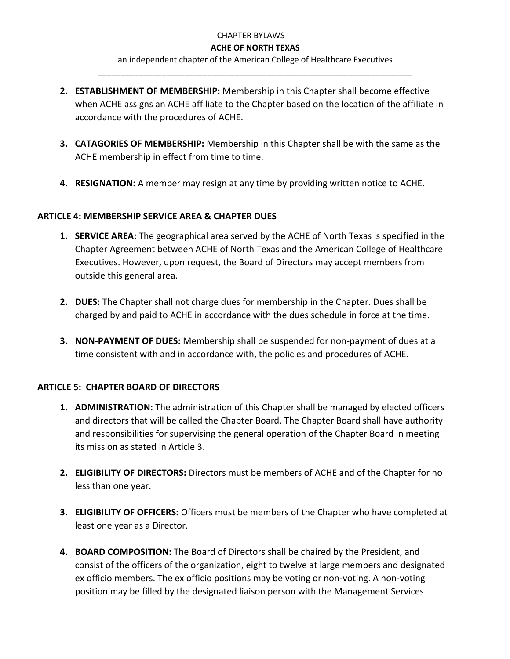an independent chapter of the American College of Healthcare Executives **\_\_\_\_\_\_\_\_\_\_\_\_\_\_\_\_\_\_\_\_\_\_\_\_\_\_\_\_\_\_\_\_\_\_\_\_\_\_\_\_\_\_\_\_\_\_\_\_\_\_\_\_\_\_\_\_\_\_\_\_\_\_\_\_\_\_\_\_\_**

- **2. ESTABLISHMENT OF MEMBERSHIP:** Membership in this Chapter shall become effective when ACHE assigns an ACHE affiliate to the Chapter based on the location of the affiliate in accordance with the procedures of ACHE.
- **3. CATAGORIES OF MEMBERSHIP:** Membership in this Chapter shall be with the same as the ACHE membership in effect from time to time.
- **4. RESIGNATION:** A member may resign at any time by providing written notice to ACHE.

## **ARTICLE 4: MEMBERSHIP SERVICE AREA & CHAPTER DUES**

- **1. SERVICE AREA:** The geographical area served by the ACHE of North Texas is specified in the Chapter Agreement between ACHE of North Texas and the American College of Healthcare Executives. However, upon request, the Board of Directors may accept members from outside this general area.
- **2. DUES:** The Chapter shall not charge dues for membership in the Chapter. Dues shall be charged by and paid to ACHE in accordance with the dues schedule in force at the time.
- **3. NON-PAYMENT OF DUES:** Membership shall be suspended for non-payment of dues at a time consistent with and in accordance with, the policies and procedures of ACHE.

# **ARTICLE 5: CHAPTER BOARD OF DIRECTORS**

- **1. ADMINISTRATION:** The administration of this Chapter shall be managed by elected officers and directors that will be called the Chapter Board. The Chapter Board shall have authority and responsibilities for supervising the general operation of the Chapter Board in meeting its mission as stated in Article 3.
- **2. ELIGIBILITY OF DIRECTORS:** Directors must be members of ACHE and of the Chapter for no less than one year.
- **3. ELIGIBILITY OF OFFICERS:** Officers must be members of the Chapter who have completed at least one year as a Director.
- **4. BOARD COMPOSITION:** The Board of Directors shall be chaired by the President, and consist of the officers of the organization, eight to twelve at large members and designated ex officio members. The ex officio positions may be voting or non-voting. A non-voting position may be filled by the designated liaison person with the Management Services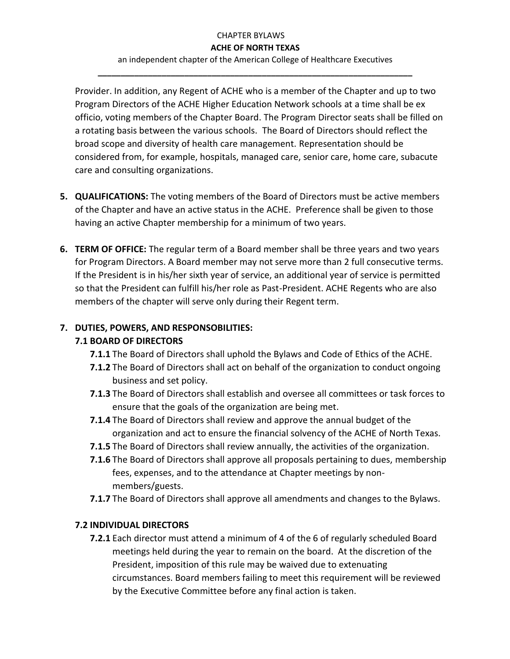an independent chapter of the American College of Healthcare Executives **\_\_\_\_\_\_\_\_\_\_\_\_\_\_\_\_\_\_\_\_\_\_\_\_\_\_\_\_\_\_\_\_\_\_\_\_\_\_\_\_\_\_\_\_\_\_\_\_\_\_\_\_\_\_\_\_\_\_\_\_\_\_\_\_\_\_\_\_\_**

Provider. In addition, any Regent of ACHE who is a member of the Chapter and up to two Program Directors of the ACHE Higher Education Network schools at a time shall be ex officio, voting members of the Chapter Board. The Program Director seats shall be filled on a rotating basis between the various schools. The Board of Directors should reflect the broad scope and diversity of health care management. Representation should be considered from, for example, hospitals, managed care, senior care, home care, subacute care and consulting organizations.

- **5. QUALIFICATIONS:** The voting members of the Board of Directors must be active members of the Chapter and have an active status in the ACHE. Preference shall be given to those having an active Chapter membership for a minimum of two years.
- **6. TERM OF OFFICE:** The regular term of a Board member shall be three years and two years for Program Directors. A Board member may not serve more than 2 full consecutive terms. If the President is in his/her sixth year of service, an additional year of service is permitted so that the President can fulfill his/her role as Past-President. ACHE Regents who are also members of the chapter will serve only during their Regent term.

# **7. DUTIES, POWERS, AND RESPONSOBILITIES:**

# **7.1 BOARD OF DIRECTORS**

- **7.1.1** The Board of Directors shall uphold the Bylaws and Code of Ethics of the ACHE.
- **7.1.2** The Board of Directors shall act on behalf of the organization to conduct ongoing business and set policy.
- **7.1.3** The Board of Directors shall establish and oversee all committees or task forces to ensure that the goals of the organization are being met.
- **7.1.4** The Board of Directors shall review and approve the annual budget of the organization and act to ensure the financial solvency of the ACHE of North Texas.
- **7.1.5** The Board of Directors shall review annually, the activities of the organization.
- **7.1.6** The Board of Directors shall approve all proposals pertaining to dues, membership fees, expenses, and to the attendance at Chapter meetings by nonmembers/guests.
- **7.1.7** The Board of Directors shall approve all amendments and changes to the Bylaws.

### **7.2 INDIVIDUAL DIRECTORS**

**7.2.1** Each director must attend a minimum of 4 of the 6 of regularly scheduled Board meetings held during the year to remain on the board. At the discretion of the President, imposition of this rule may be waived due to extenuating circumstances. Board members failing to meet this requirement will be reviewed by the Executive Committee before any final action is taken.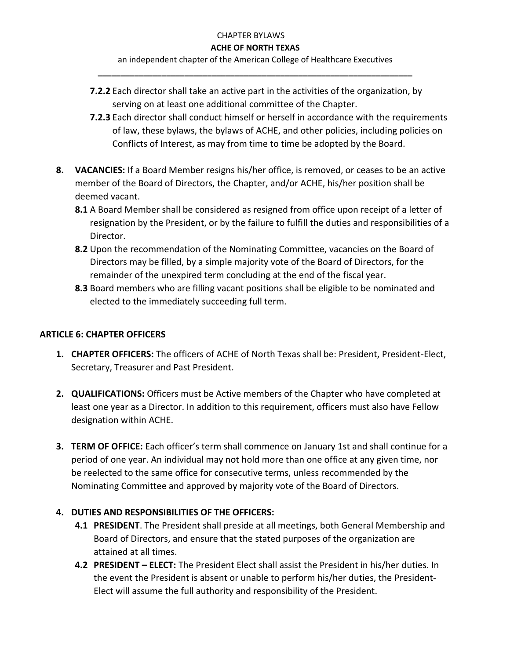an independent chapter of the American College of Healthcare Executives **\_\_\_\_\_\_\_\_\_\_\_\_\_\_\_\_\_\_\_\_\_\_\_\_\_\_\_\_\_\_\_\_\_\_\_\_\_\_\_\_\_\_\_\_\_\_\_\_\_\_\_\_\_\_\_\_\_\_\_\_\_\_\_\_\_\_\_\_\_**

- **7.2.2** Each director shall take an active part in the activities of the organization, by serving on at least one additional committee of the Chapter.
- **7.2.3** Each director shall conduct himself or herself in accordance with the requirements of law, these bylaws, the bylaws of ACHE, and other policies, including policies on Conflicts of Interest, as may from time to time be adopted by the Board.
- **8. VACANCIES:** If a Board Member resigns his/her office, is removed, or ceases to be an active member of the Board of Directors, the Chapter, and/or ACHE, his/her position shall be deemed vacant.
	- **8.1** A Board Member shall be considered as resigned from office upon receipt of a letter of resignation by the President, or by the failure to fulfill the duties and responsibilities of a Director.
	- **8.2** Upon the recommendation of the Nominating Committee, vacancies on the Board of Directors may be filled, by a simple majority vote of the Board of Directors, for the remainder of the unexpired term concluding at the end of the fiscal year.
	- **8.3** Board members who are filling vacant positions shall be eligible to be nominated and elected to the immediately succeeding full term.

# **ARTICLE 6: CHAPTER OFFICERS**

- **1. CHAPTER OFFICERS:** The officers of ACHE of North Texas shall be: President, President-Elect, Secretary, Treasurer and Past President.
- **2. QUALIFICATIONS:** Officers must be Active members of the Chapter who have completed at least one year as a Director. In addition to this requirement, officers must also have Fellow designation within ACHE.
- **3. TERM OF OFFICE:** Each officer's term shall commence on January 1st and shall continue for a period of one year. An individual may not hold more than one office at any given time, nor be reelected to the same office for consecutive terms, unless recommended by the Nominating Committee and approved by majority vote of the Board of Directors.

# **4. DUTIES AND RESPONSIBILITIES OF THE OFFICERS:**

- **4.1 PRESIDENT**. The President shall preside at all meetings, both General Membership and Board of Directors, and ensure that the stated purposes of the organization are attained at all times.
- **4.2 PRESIDENT – ELECT:** The President Elect shall assist the President in his/her duties. In the event the President is absent or unable to perform his/her duties, the President-Elect will assume the full authority and responsibility of the President.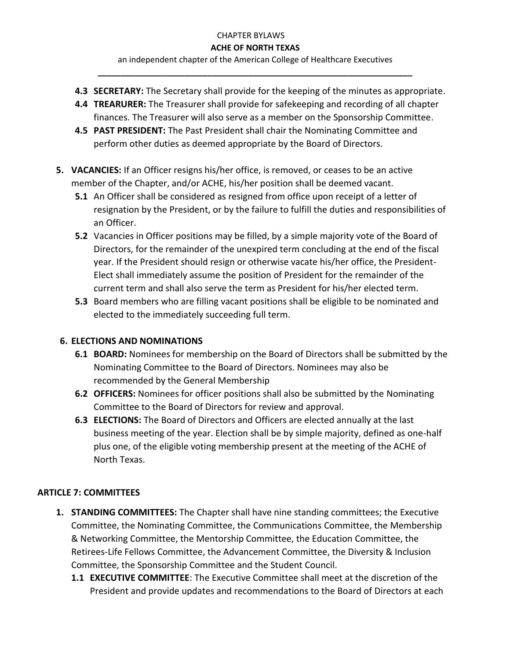an independent chapter of the American College of Healthcare Executives **\_\_\_\_\_\_\_\_\_\_\_\_\_\_\_\_\_\_\_\_\_\_\_\_\_\_\_\_\_\_\_\_\_\_\_\_\_\_\_\_\_\_\_\_\_\_\_\_\_\_\_\_\_\_\_\_\_\_\_\_\_\_\_\_\_\_\_\_\_**

- **4.3 SECRETARY:** The Secretary shall provide for the keeping of the minutes as appropriate.
- **4.4 TREARURER:** The Treasurer shall provide for safekeeping and recording of all chapter finances. The Treasurer will also serve as a member on the Sponsorship Committee.
- **4.5 PAST PRESIDENT:** The Past President shall chair the Nominating Committee and perform other duties as deemed appropriate by the Board of Directors.
- **5. VACANCIES:** If an Officer resigns his/her office, is removed, or ceases to be an active member of the Chapter, and/or ACHE, his/her position shall be deemed vacant.
	- **5.1** An Officer shall be considered as resigned from office upon receipt of a letter of resignation by the President, or by the failure to fulfill the duties and responsibilities of an Officer.
	- **5.2** Vacancies in Officer positions may be filled, by a simple majority vote of the Board of Directors, for the remainder of the unexpired term concluding at the end of the fiscal year. If the President should resign or otherwise vacate his/her office, the President-Elect shall immediately assume the position of President for the remainder of the current term and shall also serve the term as President for his/her elected term.
	- **5.3** Board members who are filling vacant positions shall be eligible to be nominated and elected to the immediately succeeding full term.

# **6. ELECTIONS AND NOMINATIONS**

- **6.1 BOARD:** Nominees for membership on the Board of Directors shall be submitted by the Nominating Committee to the Board of Directors. Nominees may also be recommended by the General Membership
- **6.2 OFFICERS:** Nominees for officer positions shall also be submitted by the Nominating Committee to the Board of Directors for review and approval.
- **6.3 ELECTIONS:** The Board of Directors and Officers are elected annually at the last business meeting of the year. Election shall be by simple majority, defined as one-half plus one, of the eligible voting membership present at the meeting of the ACHE of North Texas.

# **ARTICLE 7: COMMITTEES**

- **1. STANDING COMMITTEES:** The Chapter shall have nine standing committees; the Executive Committee, the Nominating Committee, the Communications Committee, the Membership & Networking Committee, the Mentorship Committee, the Education Committee, the Retirees-Life Fellows Committee, the Advancement Committee, the Diversity & Inclusion Committee, the Sponsorship Committee and the Student Council.
	- **1.1 EXECUTIVE COMMITTEE**: The Executive Committee shall meet at the discretion of the President and provide updates and recommendations to the Board of Directors at each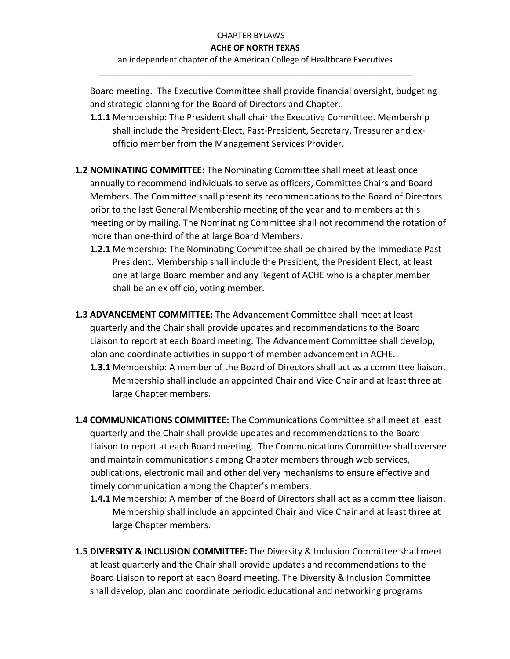an independent chapter of the American College of Healthcare Executives **\_\_\_\_\_\_\_\_\_\_\_\_\_\_\_\_\_\_\_\_\_\_\_\_\_\_\_\_\_\_\_\_\_\_\_\_\_\_\_\_\_\_\_\_\_\_\_\_\_\_\_\_\_\_\_\_\_\_\_\_\_\_\_\_\_\_\_\_\_**

Board meeting. The Executive Committee shall provide financial oversight, budgeting and strategic planning for the Board of Directors and Chapter.

- **1.1.1** Membership: The President shall chair the Executive Committee. Membership shall include the President-Elect, Past-President, Secretary, Treasurer and exofficio member from the Management Services Provider.
- **1.2 NOMINATING COMMITTEE:** The Nominating Committee shall meet at least once annually to recommend individuals to serve as officers, Committee Chairs and Board Members. The Committee shall present its recommendations to the Board of Directors prior to the last General Membership meeting of the year and to members at this meeting or by mailing. The Nominating Committee shall not recommend the rotation of more than one-third of the at large Board Members.
	- **1.2.1** Membership: The Nominating Committee shall be chaired by the Immediate Past President. Membership shall include the President, the President Elect, at least one at large Board member and any Regent of ACHE who is a chapter member shall be an ex officio, voting member.
- **1.3 ADVANCEMENT COMMITTEE:** The Advancement Committee shall meet at least quarterly and the Chair shall provide updates and recommendations to the Board Liaison to report at each Board meeting. The Advancement Committee shall develop, plan and coordinate activities in support of member advancement in ACHE.
	- **1.3.1** Membership: A member of the Board of Directors shall act as a committee liaison. Membership shall include an appointed Chair and Vice Chair and at least three at large Chapter members.
- **1.4 COMMUNICATIONS COMMITTEE:** The Communications Committee shall meet at least quarterly and the Chair shall provide updates and recommendations to the Board Liaison to report at each Board meeting. The Communications Committee shall oversee and maintain communications among Chapter members through web services, publications, electronic mail and other delivery mechanisms to ensure effective and timely communication among the Chapter's members.
	- **1.4.1** Membership: A member of the Board of Directors shall act as a committee liaison. Membership shall include an appointed Chair and Vice Chair and at least three at large Chapter members.
- **1.5 DIVERSITY & INCLUSION COMMITTEE:** The Diversity & Inclusion Committee shall meet at least quarterly and the Chair shall provide updates and recommendations to the Board Liaison to report at each Board meeting. The Diversity & Inclusion Committee shall develop, plan and coordinate periodic educational and networking programs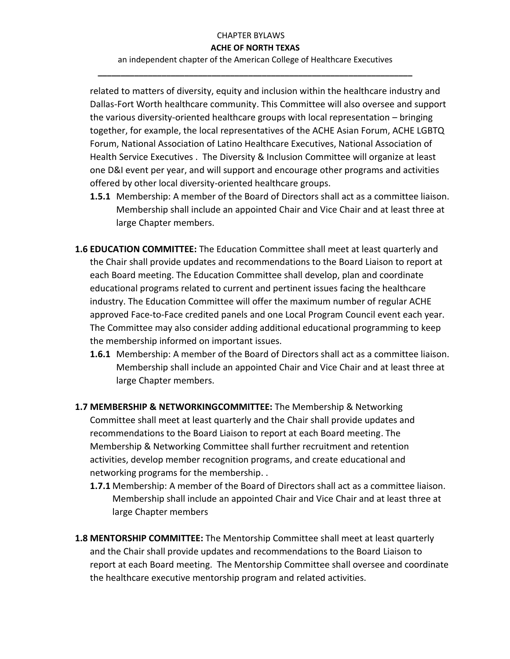an independent chapter of the American College of Healthcare Executives **\_\_\_\_\_\_\_\_\_\_\_\_\_\_\_\_\_\_\_\_\_\_\_\_\_\_\_\_\_\_\_\_\_\_\_\_\_\_\_\_\_\_\_\_\_\_\_\_\_\_\_\_\_\_\_\_\_\_\_\_\_\_\_\_\_\_\_\_\_**

related to matters of diversity, equity and inclusion within the healthcare industry and Dallas-Fort Worth healthcare community. This Committee will also oversee and support the various diversity-oriented healthcare groups with local representation – bringing together, for example, the local representatives of the ACHE Asian Forum, ACHE LGBTQ Forum, National Association of Latino Healthcare Executives, National Association of Health Service Executives . The Diversity & Inclusion Committee will organize at least one D&I event per year, and will support and encourage other programs and activities offered by other local diversity-oriented healthcare groups.

- **1.5.1** Membership: A member of the Board of Directors shall act as a committee liaison. Membership shall include an appointed Chair and Vice Chair and at least three at large Chapter members.
- **1.6 EDUCATION COMMITTEE:** The Education Committee shall meet at least quarterly and the Chair shall provide updates and recommendations to the Board Liaison to report at each Board meeting. The Education Committee shall develop, plan and coordinate educational programs related to current and pertinent issues facing the healthcare industry. The Education Committee will offer the maximum number of regular ACHE approved Face-to-Face credited panels and one Local Program Council event each year. The Committee may also consider adding additional educational programming to keep the membership informed on important issues.
	- **1.6.1** Membership: A member of the Board of Directors shall act as a committee liaison. Membership shall include an appointed Chair and Vice Chair and at least three at large Chapter members.
- **1.7 MEMBERSHIP & NETWORKINGCOMMITTEE:** The Membership & Networking Committee shall meet at least quarterly and the Chair shall provide updates and recommendations to the Board Liaison to report at each Board meeting. The Membership & Networking Committee shall further recruitment and retention activities, develop member recognition programs, and create educational and networking programs for the membership. .
	- **1.7.1** Membership: A member of the Board of Directors shall act as a committee liaison. Membership shall include an appointed Chair and Vice Chair and at least three at large Chapter members
- **1.8 MENTORSHIP COMMITTEE:** The Mentorship Committee shall meet at least quarterly and the Chair shall provide updates and recommendations to the Board Liaison to report at each Board meeting. The Mentorship Committee shall oversee and coordinate the healthcare executive mentorship program and related activities.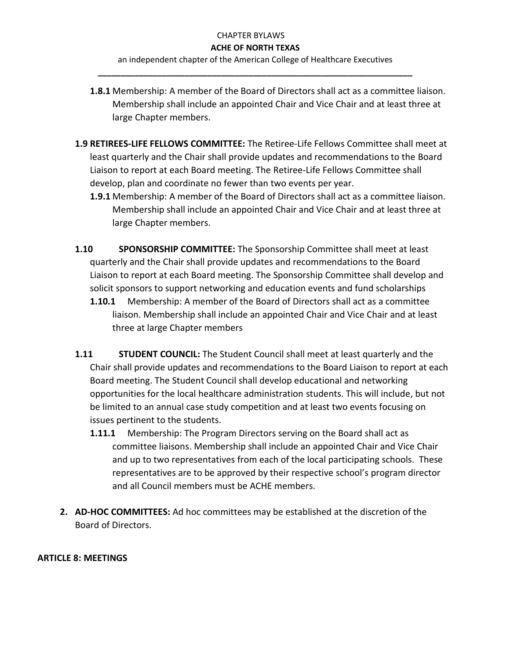an independent chapter of the American College of Healthcare Executives **\_\_\_\_\_\_\_\_\_\_\_\_\_\_\_\_\_\_\_\_\_\_\_\_\_\_\_\_\_\_\_\_\_\_\_\_\_\_\_\_\_\_\_\_\_\_\_\_\_\_\_\_\_\_\_\_\_\_\_\_\_\_\_\_\_\_\_\_\_**

- **1.8.1** Membership: A member of the Board of Directors shall act as a committee liaison. Membership shall include an appointed Chair and Vice Chair and at least three at large Chapter members.
- **1.9 RETIREES-LIFE FELLOWS COMMITTEE:** The Retiree-Life Fellows Committee shall meet at least quarterly and the Chair shall provide updates and recommendations to the Board Liaison to report at each Board meeting. The Retiree-Life Fellows Committee shall develop, plan and coordinate no fewer than two events per year.
	- **1.9.1** Membership: A member of the Board of Directors shall act as a committee liaison. Membership shall include an appointed Chair and Vice Chair and at least three at large Chapter members.
- **1.10 SPONSORSHIP COMMITTEE:** The Sponsorship Committee shall meet at least quarterly and the Chair shall provide updates and recommendations to the Board Liaison to report at each Board meeting. The Sponsorship Committee shall develop and solicit sponsors to support networking and education events and fund scholarships
	- **1.10.1** Membership: A member of the Board of Directors shall act as a committee liaison. Membership shall include an appointed Chair and Vice Chair and at least three at large Chapter members
- **1.11 STUDENT COUNCIL:** The Student Council shall meet at least quarterly and the Chair shall provide updates and recommendations to the Board Liaison to report at each Board meeting. The Student Council shall develop educational and networking opportunities for the local healthcare administration students. This will include, but not be limited to an annual case study competition and at least two events focusing on issues pertinent to the students.
	- **1.11.1** Membership: The Program Directors serving on the Board shall act as committee liaisons. Membership shall include an appointed Chair and Vice Chair and up to two representatives from each of the local participating schools. These representatives are to be approved by their respective school's program director and all Council members must be ACHE members.
- **2. AD-HOC COMMITTEES:** Ad hoc committees may be established at the discretion of the Board of Directors.

# **ARTICLE 8: MEETINGS**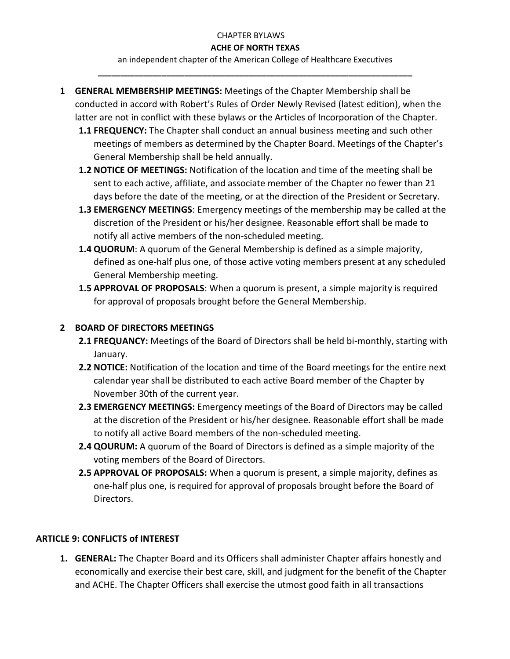an independent chapter of the American College of Healthcare Executives **\_\_\_\_\_\_\_\_\_\_\_\_\_\_\_\_\_\_\_\_\_\_\_\_\_\_\_\_\_\_\_\_\_\_\_\_\_\_\_\_\_\_\_\_\_\_\_\_\_\_\_\_\_\_\_\_\_\_\_\_\_\_\_\_\_\_\_\_\_**

- **1 GENERAL MEMBERSHIP MEETINGS:** Meetings of the Chapter Membership shall be conducted in accord with Robert's Rules of Order Newly Revised (latest edition), when the latter are not in conflict with these bylaws or the Articles of Incorporation of the Chapter.
	- **1.1 FREQUENCY:** The Chapter shall conduct an annual business meeting and such other meetings of members as determined by the Chapter Board. Meetings of the Chapter's General Membership shall be held annually.
	- **1.2 NOTICE OF MEETINGS:** Notification of the location and time of the meeting shall be sent to each active, affiliate, and associate member of the Chapter no fewer than 21 days before the date of the meeting, or at the direction of the President or Secretary.
	- **1.3 EMERGENCY MEETINGS**: Emergency meetings of the membership may be called at the discretion of the President or his/her designee. Reasonable effort shall be made to notify all active members of the non-scheduled meeting.
	- **1.4 QUORUM**: A quorum of the General Membership is defined as a simple majority, defined as one-half plus one, of those active voting members present at any scheduled General Membership meeting.
	- **1.5 APPROVAL OF PROPOSALS**: When a quorum is present, a simple majority is required for approval of proposals brought before the General Membership.

# **2 BOARD OF DIRECTORS MEETINGS**

- **2.1 FREQUANCY:** Meetings of the Board of Directors shall be held bi-monthly, starting with January.
- **2.2 NOTICE:** Notification of the location and time of the Board meetings for the entire next calendar year shall be distributed to each active Board member of the Chapter by November 30th of the current year.
- **2.3 EMERGENCY MEETINGS:** Emergency meetings of the Board of Directors may be called at the discretion of the President or his/her designee. Reasonable effort shall be made to notify all active Board members of the non-scheduled meeting.
- **2.4 QOURUM:** A quorum of the Board of Directors is defined as a simple majority of the voting members of the Board of Directors.
- **2.5 APPROVAL OF PROPOSALS:** When a quorum is present, a simple majority, defines as one-half plus one, is required for approval of proposals brought before the Board of Directors.

# **ARTICLE 9: CONFLICTS of INTEREST**

**1. GENERAL:** The Chapter Board and its Officers shall administer Chapter affairs honestly and economically and exercise their best care, skill, and judgment for the benefit of the Chapter and ACHE. The Chapter Officers shall exercise the utmost good faith in all transactions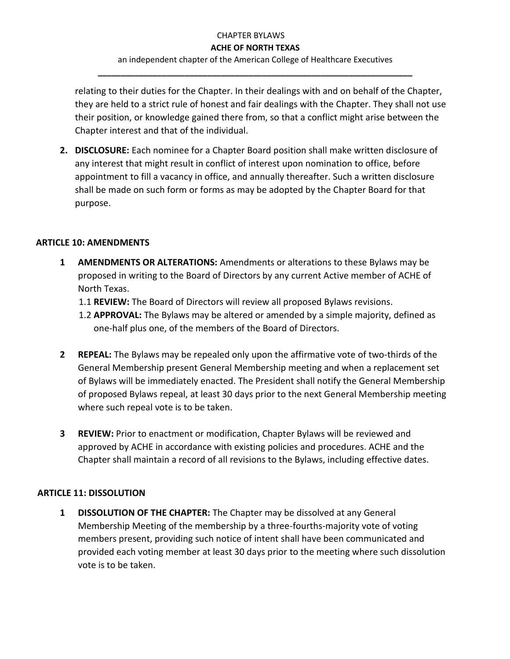an independent chapter of the American College of Healthcare Executives **\_\_\_\_\_\_\_\_\_\_\_\_\_\_\_\_\_\_\_\_\_\_\_\_\_\_\_\_\_\_\_\_\_\_\_\_\_\_\_\_\_\_\_\_\_\_\_\_\_\_\_\_\_\_\_\_\_\_\_\_\_\_\_\_\_\_\_\_\_**

relating to their duties for the Chapter. In their dealings with and on behalf of the Chapter, they are held to a strict rule of honest and fair dealings with the Chapter. They shall not use their position, or knowledge gained there from, so that a conflict might arise between the Chapter interest and that of the individual.

**2. DISCLOSURE:** Each nominee for a Chapter Board position shall make written disclosure of any interest that might result in conflict of interest upon nomination to office, before appointment to fill a vacancy in office, and annually thereafter. Such a written disclosure shall be made on such form or forms as may be adopted by the Chapter Board for that purpose.

### **ARTICLE 10: AMENDMENTS**

- **1 AMENDMENTS OR ALTERATIONS:** Amendments or alterations to these Bylaws may be proposed in writing to the Board of Directors by any current Active member of ACHE of North Texas.
	- 1.1 **REVIEW:** The Board of Directors will review all proposed Bylaws revisions.
	- 1.2 **APPROVAL:** The Bylaws may be altered or amended by a simple majority, defined as one-half plus one, of the members of the Board of Directors.
- **2 REPEAL:** The Bylaws may be repealed only upon the affirmative vote of two-thirds of the General Membership present General Membership meeting and when a replacement set of Bylaws will be immediately enacted. The President shall notify the General Membership of proposed Bylaws repeal, at least 30 days prior to the next General Membership meeting where such repeal vote is to be taken.
- **3 REVIEW:** Prior to enactment or modification, Chapter Bylaws will be reviewed and approved by ACHE in accordance with existing policies and procedures. ACHE and the Chapter shall maintain a record of all revisions to the Bylaws, including effective dates.

### **ARTICLE 11: DISSOLUTION**

**1 DISSOLUTION OF THE CHAPTER:** The Chapter may be dissolved at any General Membership Meeting of the membership by a three-fourths-majority vote of voting members present, providing such notice of intent shall have been communicated and provided each voting member at least 30 days prior to the meeting where such dissolution vote is to be taken.